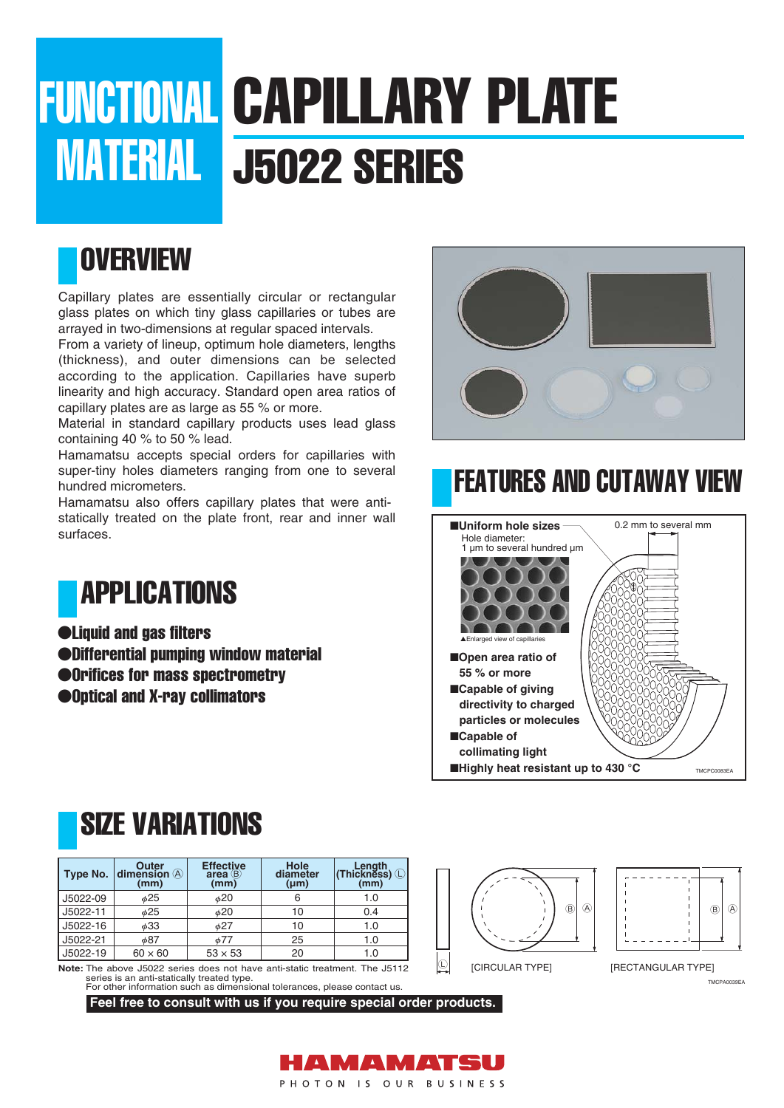# FUNCTIONAL CAPILLARY PLATE **MATERIAL | J5022 SERIES**

#### **OVERVIEW**

Capillary plates are essentially circular or rectangular glass plates on which tiny glass capillaries or tubes are arrayed in two-dimensions at regular spaced intervals.

From a variety of lineup, optimum hole diameters, lengths (thickness), and outer dimensions can be selected according to the application. Capillaries have superb linearity and high accuracy. Standard open area ratios of capillary plates are as large as 55 % or more.

Material in standard capillary products uses lead glass containing 40 % to 50 % lead.

Hamamatsu accepts special orders for capillaries with super-tiny holes diameters ranging from one to several hundred micrometers.

Hamamatsu also offers capillary plates that were antistatically treated on the plate front, rear and inner wall surfaces.



- ●Liquid and gas filters
- ●Differential pumping window material
- ●Orifices for mass spectrometry
- ●Optical and X-ray collimators

### SIZE VARIATIONS

| Type No. | Outer<br>dimension (A)<br>(mm) | <b>Effective</b><br>area(B)<br>(mm) | Hole<br>diameter<br>$(\mu m)$ | (mm) |
|----------|--------------------------------|-------------------------------------|-------------------------------|------|
| J5022-09 | φ25                            | $\phi$ 20                           |                               | 1.0  |
| J5022-11 | $\phi$ 25                      | φ20                                 | 10                            | 0.4  |
| J5022-16 | φ33                            | $\phi$ 27                           | 10                            | 1.0  |
| J5022-21 | φ87                            | $\phi$ 77                           | 25                            | 1.0  |
| J5022-19 | $60 \times 60$                 | $53 \times 53$                      | 20                            | 1.0  |

**Note:** The above J5022 series does not have anti-static treatment. The J5112 series is an anti-statically treated type. For other information such as dimensional tolerances, please contact us.

**Feel free to consult with us if you require special order products.**



### FEATURES AND CUTAWAY VIEW







[CIRCULAR TYPE] [RECTANGULAR TYPE]

**TMCPA0039EA**